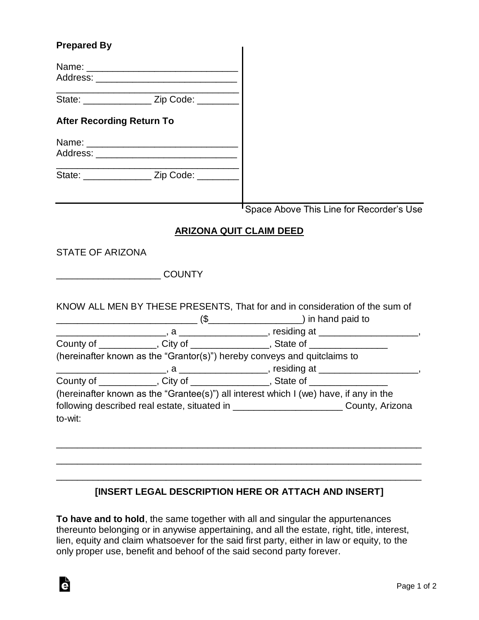## **Prepared By**

G

| <b>Γισμαισα Dy</b>               |                                                                                                                                                                                                                                |                                                                                         |
|----------------------------------|--------------------------------------------------------------------------------------------------------------------------------------------------------------------------------------------------------------------------------|-----------------------------------------------------------------------------------------|
|                                  |                                                                                                                                                                                                                                |                                                                                         |
|                                  |                                                                                                                                                                                                                                |                                                                                         |
|                                  | State: __________________ Zip Code: _______                                                                                                                                                                                    |                                                                                         |
| <b>After Recording Return To</b> |                                                                                                                                                                                                                                |                                                                                         |
|                                  |                                                                                                                                                                                                                                |                                                                                         |
|                                  | Address: Analysis and the contract of the contract of the contract of the contract of the contract of the contract of the contract of the contract of the contract of the contract of the contract of the contract of the cont |                                                                                         |
|                                  | State: ________________ Zip Code: ________                                                                                                                                                                                     |                                                                                         |
|                                  |                                                                                                                                                                                                                                | <sup>I</sup> Space Above This Line for Recorder's Use                                   |
|                                  |                                                                                                                                                                                                                                | <b>ARIZONA QUIT CLAIM DEED</b>                                                          |
| <b>STATE OF ARIZONA</b>          |                                                                                                                                                                                                                                |                                                                                         |
|                                  |                                                                                                                                                                                                                                |                                                                                         |
|                                  | <b>COUNTY</b>                                                                                                                                                                                                                  |                                                                                         |
|                                  |                                                                                                                                                                                                                                | KNOW ALL MEN BY THESE PRESENTS, That for and in consideration of the sum of             |
|                                  |                                                                                                                                                                                                                                |                                                                                         |
|                                  |                                                                                                                                                                                                                                | County of ____________, City of ______________, State of _______________________        |
|                                  |                                                                                                                                                                                                                                | (hereinafter known as the "Grantor(s)") hereby conveys and quitclaims to                |
|                                  |                                                                                                                                                                                                                                |                                                                                         |
|                                  |                                                                                                                                                                                                                                | County of ____________, City of _______________, State of ______________________        |
|                                  |                                                                                                                                                                                                                                | (hereinafter known as the "Grantee(s)") all interest which I (we) have, if any in the   |
|                                  |                                                                                                                                                                                                                                | following described real estate, situated in ___________________________County, Arizona |
| to-wit:                          |                                                                                                                                                                                                                                |                                                                                         |
|                                  |                                                                                                                                                                                                                                |                                                                                         |
|                                  |                                                                                                                                                                                                                                |                                                                                         |

## **[INSERT LEGAL DESCRIPTION HERE OR ATTACH AND INSERT]**

\_\_\_\_\_\_\_\_\_\_\_\_\_\_\_\_\_\_\_\_\_\_\_\_\_\_\_\_\_\_\_\_\_\_\_\_\_\_\_\_\_\_\_\_\_\_\_\_\_\_\_\_\_\_\_\_\_\_\_\_\_\_\_\_\_\_\_\_\_\_

\_\_\_\_\_\_\_\_\_\_\_\_\_\_\_\_\_\_\_\_\_\_\_\_\_\_\_\_\_\_\_\_\_\_\_\_\_\_\_\_\_\_\_\_\_\_\_\_\_\_\_\_\_\_\_\_\_\_\_\_\_\_\_\_\_\_\_\_\_\_

**To have and to hold**, the same together with all and singular the appurtenances thereunto belonging or in anywise appertaining, and all the estate, right, title, interest, lien, equity and claim whatsoever for the said first party, either in law or equity, to the only proper use, benefit and behoof of the said second party forever.